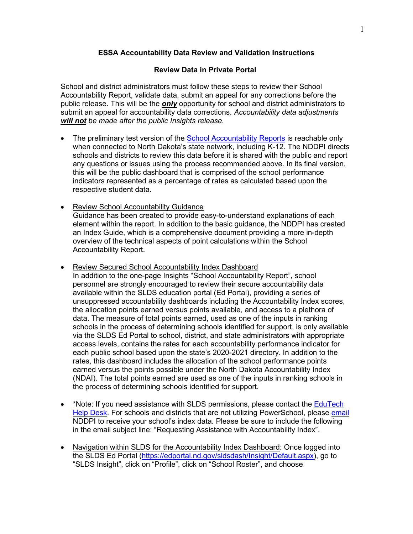## **ESSA Accountability Data Review and Validation Instructions**

### **Review Data in Private Portal**

School and district administrators must follow these steps to review their School Accountability Report, validate data, submit an appeal for any corrections before the public release. This will be the *only* opportunity for school and district administrators to submit an appeal for accountability data corrections. *Accountability data adjustments will not be made after the public Insights release.*

- The preliminary test version of the [School Accountability Reports](https://uat.insights.nd.gov/) is reachable only when connected to North Dakota's state network, including K-12. The NDDPI directs schools and districts to review this data before it is shared with the public and report any questions or issues using the process recommended above. In its final version, this will be the public dashboard that is comprised of the school performance indicators represented as a percentage of rates as calculated based upon the respective student data.
- Review School Accountability Guidance Guidance has been created to provide easy-to-understand explanations of each element within the report. In addition to the basic guidance, the NDDPI has created an Index Guide, which is a comprehensive document providing a more in-depth overview of the technical aspects of point calculations within the School Accountability Report.
- Review Secured School Accountability Index Dashboard In addition to the one-page Insights "School Accountability Report", school personnel are strongly encouraged to review their secure accountability data available within the SLDS education portal (Ed Portal), providing a series of unsuppressed accountability dashboards including the Accountability Index scores, the allocation points earned versus points available, and access to a plethora of data. The measure of total points earned, used as one of the inputs in ranking schools in the process of determining schools identified for support, is only available via the SLDS Ed Portal to school, district, and state administrators with appropriate access levels, contains the rates for each accountability performance indicator for each public school based upon the state's 2020-2021 directory. In addition to the rates, this dashboard includes the allocation of the school performance points earned versus the points possible under the North Dakota Accountability Index (NDAI). The total points earned are used as one of the inputs in ranking schools in the process of determining schools identified for support.
- \*Note: If you need assistance with SLDS permissions, please contact the **EduTech** [Help Desk.](mailto:help@k12.nd.us) For schools and districts that are not utilizing PowerSchool, please [email](mailto:dpiaccountability@nd.gov) NDDPI to receive your school's index data. Please be sure to include the following in the email subject line: "Requesting Assistance with Accountability Index".
- Navigation within SLDS for the Accountability Index Dashboard: Once logged into the SLDS Ed Portal [\(https://edportal.nd.gov/sldsdash/Insight/Default.aspx\)](https://edportal.nd.gov/sldsdash/Insight/Default.aspx), go to "SLDS Insight", click on "Profile", click on "School Roster", and choose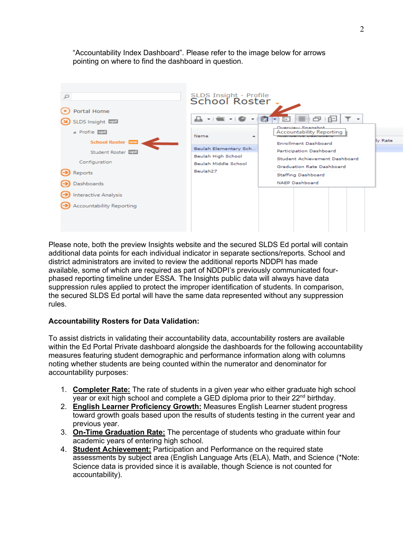"Accountability Index Dashboard". Please refer to the image below for arrows pointing on where to find the dashboard in question.



Please note, both the preview Insights website and the secured SLDS Ed portal will contain additional data points for each individual indicator in separate sections/reports. School and district administrators are invited to review the additional reports NDDPI has made available, some of which are required as part of NDDPI's previously communicated fourphased reporting timeline under ESSA. The Insights public data will always have data suppression rules applied to protect the improper identification of students. In comparison, the secured SLDS Ed portal will have the same data represented without any suppression rules.

## **Accountability Rosters for Data Validation:**

To assist districts in validating their accountability data, accountability rosters are available within the Ed Portal Private dashboard alongside the dashboards for the following accountability measures featuring student demographic and performance information along with columns noting whether students are being counted within the numerator and denominator for accountability purposes:

- 1. **Completer Rate:** The rate of students in a given year who either graduate high school  $\overline{V}$  vear or exit high school and complete a GED diploma prior to their 22<sup>nd</sup> birthday.
- 2. **English Learner Proficiency Growth:** Measures English Learner student progress toward growth goals based upon the results of students testing in the current year and previous year.
- 3. **On-Time Graduation Rate:** The percentage of students who graduate within four academic years of entering high school.
- 4. **Student Achievement:** Participation and Performance on the required state assessments by subject area (English Language Arts (ELA), Math, and Science (\*Note: Science data is provided since it is available, though Science is not counted for accountability).